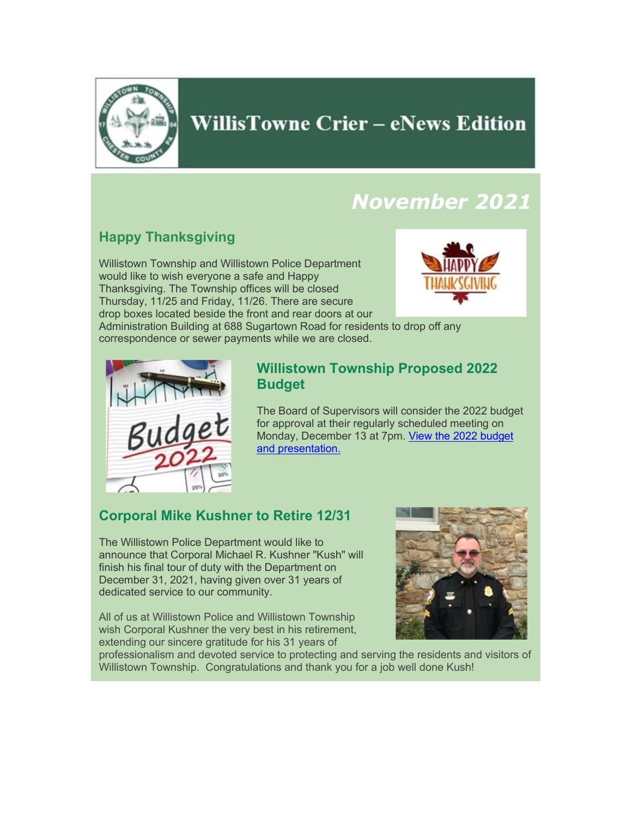

# **WillisTowne Crier - eNews Edition**

# *November 2021*

# **Happy Thanksgiving**

Willistown Township and Willistown Police Department would like to wish everyone a safe and Happy Thanksgiving. The Township offices will be closed Thursday, 11/25 and Friday, 11/26. There are secure drop boxes located beside the front and rear doors at our



Administration Building at 688 Sugartown Road for residents to drop off any correspondence or sewer payments while we are closed.



### **Willistown Township Proposed 2022 Budget**

The Board of Supervisors will consider the 2022 budget for approval at their regularly scheduled meeting on Monday, December 13 at 7pm. [View the 2022 budget](https://www.willistown.pa.us/97/Finance)  [and presentation.](https://www.willistown.pa.us/97/Finance)

## **Corporal Mike Kushner to Retire 12/31**

The Willistown Police Department would like to announce that Corporal Michael R. Kushner "Kush" will finish his final tour of duty with the Department on December 31, 2021, having given over 31 years of dedicated service to our community.

All of us at Willistown Police and Willistown Township wish Corporal Kushner the very best in his retirement, extending our sincere gratitude for his 31 years of



professionalism and devoted service to protecting and serving the residents and visitors of Willistown Township. Congratulations and thank you for a job well done Kush!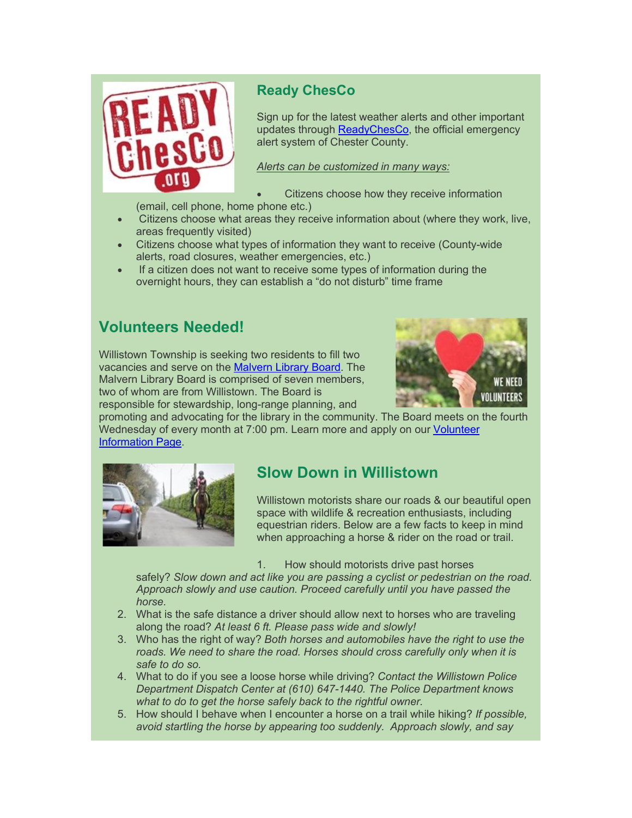

## **Ready ChesCo**

Sign up for the latest weather alerts and other important updates through [ReadyChesCo,](https://www.readychesco.org/) the official emergency alert system of Chester County.

*Alerts can be customized in many ways:*

• Citizens choose how they receive information

(email, cell phone, home phone etc.)

- Citizens choose what areas they receive information about (where they work, live, areas frequently visited)
- Citizens choose what types of information they want to receive (County-wide alerts, road closures, weather emergencies, etc.)
- If a citizen does not want to receive some types of information during the overnight hours, they can establish a "do not disturb" time frame

# **Volunteers Needed!**

Willistown Township is seeking two residents to fill two vacancies and serve on the [Malvern Library Board.](https://www.willistown.pa.us/104/Malvern-Library-Board) The Malvern Library Board is comprised of seven members, two of whom are from Willistown. The Board is responsible for stewardship, long-range planning, and



promoting and advocating for the library in the community. The Board meets on the fourth Wednesday of every month at 7:00 pm. Learn more and apply on our [Volunteer](https://www.willistown.pa.us/309/Volunteer-Information)  [Information Page.](https://www.willistown.pa.us/309/Volunteer-Information)



# **Slow Down in Willistown**

Willistown motorists share our roads & our beautiful open space with wildlife & recreation enthusiasts, including equestrian riders. Below are a few facts to keep in mind when approaching a horse & rider on the road or trail.

1. How should motorists drive past horses

safely? *Slow down and act like you are passing a cyclist or pedestrian on the road. Approach slowly and use caution. Proceed carefully until you have passed the horse.*

- 2. What is the safe distance a driver should allow next to horses who are traveling along the road? *At least 6 ft. Please pass wide and slowly!*
- 3. Who has the right of way? *Both horses and automobiles have the right to use the roads. We need to share the road. Horses should cross carefully only when it is safe to do so.*
- 4. What to do if you see a loose horse while driving? *Contact the Willistown Police Department Dispatch Center at (610) 647-1440. The Police Department knows what to do to get the horse safely back to the rightful owner.*
- 5. How should I behave when I encounter a horse on a trail while hiking? *If possible, avoid startling the horse by appearing too suddenly. Approach slowly, and say*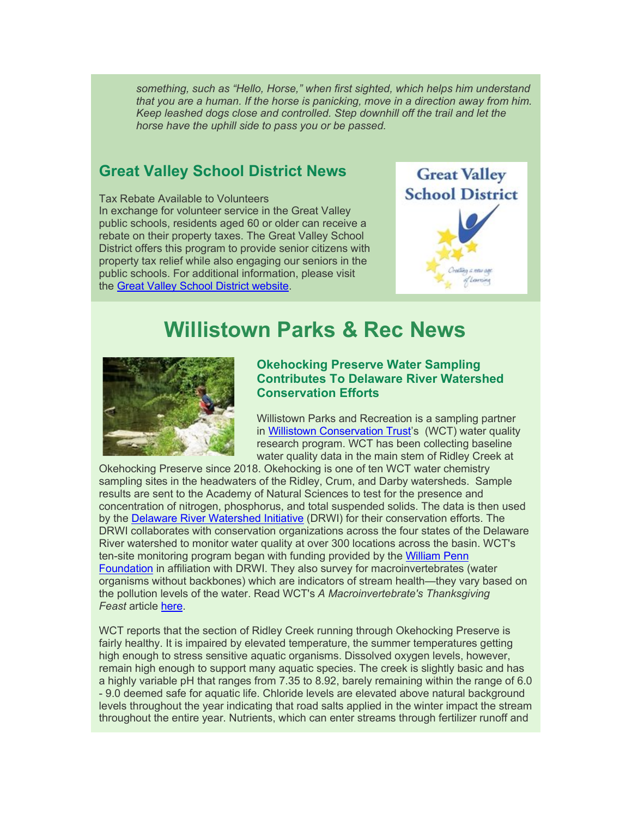*something, such as "Hello, Horse," when first sighted, which helps him understand that you are a human. If the horse is panicking, move in a direction away from him. Keep leashed dogs close and controlled. Step downhill off the trail and let the horse have the uphill side to pass you or be passed.*

### **Great Valley School District News**

Tax Rebate Available to Volunteers In exchange for volunteer service in the Great Valley public schools, residents aged 60 or older can receive a rebate on their property taxes. The Great Valley School District offers this program to provide senior citizens with property tax relief while also engaging our seniors in the public schools. For additional information, please visit the [Great Valley School District website.](https://www.gvsd.org/Page/12106)



# **Willistown Parks & Rec News**



#### **Okehocking Preserve Water Sampling Contributes To Delaware River Watershed Conservation Efforts**

Willistown Parks and Recreation is a sampling partner in [Willistown Conservation Trust'](https://wctrust.org/)s (WCT) water quality research program. WCT has been collecting baseline water quality data in the main stem of Ridley Creek at

Okehocking Preserve since 2018. Okehocking is one of ten WCT water chemistry sampling sites in the headwaters of the Ridley, Crum, and Darby watersheds. Sample results are sent to the Academy of Natural Sciences to test for the presence and concentration of nitrogen, phosphorus, and total suspended solids. The data is then used by the [Delaware River Watershed Initiative](https://4states1source.org/about/) (DRWI) for their conservation efforts. The DRWI collaborates with conservation organizations across the four states of the Delaware River watershed to monitor water quality at over 300 locations across the basin. WCT's ten-site monitoring program began with funding provided by the [William Penn](https://wctrust.org/wmpenngrant/)  [Foundation](https://wctrust.org/wmpenngrant/) in affiliation with DRWI. They also survey for macroinvertebrates (water organisms without backbones) which are indicators of stream health—they vary based on the pollution levels of the water. Read WCT's *A Macroinvertebrate's Thanksgiving Feast* article [here.](https://wctrust.org/a-macroinvertebrates-thanksgiving-feast/)

WCT reports that the section of Ridley Creek running through Okehocking Preserve is fairly healthy. It is impaired by elevated temperature, the summer temperatures getting high enough to stress sensitive aquatic organisms. Dissolved oxygen levels, however, remain high enough to support many aquatic species. The creek is slightly basic and has a highly variable pH that ranges from 7.35 to 8.92, barely remaining within the range of 6.0 - 9.0 deemed safe for aquatic life. Chloride levels are elevated above natural background levels throughout the year indicating that road salts applied in the winter impact the stream throughout the entire year. Nutrients, which can enter streams through fertilizer runoff and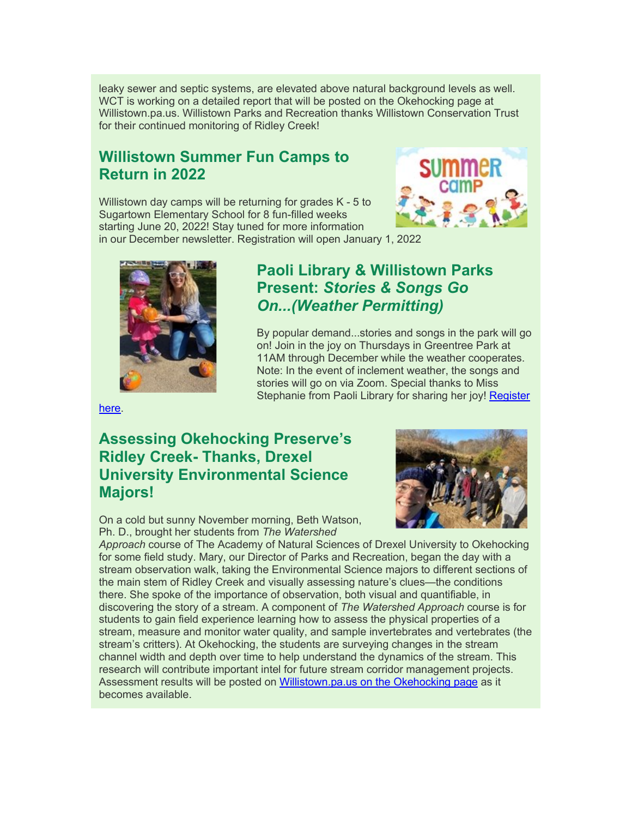leaky sewer and septic systems, are elevated above natural background levels as well. WCT is working on a detailed report that will be posted on the Okehocking page at Willistown.pa.us. Willistown Parks and Recreation thanks Willistown Conservation Trust for their continued monitoring of Ridley Creek!

## **Willistown Summer Fun Camps to Return in 2022**

Willistown day camps will be returning for grades K - 5 to Sugartown Elementary School for 8 fun-filled weeks starting June 20, 2022! Stay tuned for more information in our December newsletter. Registration will open January 1, 2022





## **Paoli Library & Willistown Parks Present:** *Stories & Songs Go On...(Weather Permitting)*

By popular demand...stories and songs in the park will go on! Join in the joy on Thursdays in Greentree Park at 11AM through December while the weather cooperates. Note: In the event of inclement weather, the songs and stories will go on via Zoom. Special thanks to Miss Stephanie from Paoli Library for sharing her joy! [Register](https://ccls.libcal.com/event/7909852?hs=a) 

[here.](https://ccls.libcal.com/event/7909852?hs=a)

# **Assessing Okehocking Preserve's Ridley Creek- Thanks, Drexel University Environmental Science Majors!**

On a cold but sunny November morning, Beth Watson, Ph. D., brought her students from *The Watershed* 



*Approach* course of The Academy of Natural Sciences of Drexel University to Okehocking for some field study. Mary, our Director of Parks and Recreation, began the day with a stream observation walk, taking the Environmental Science majors to different sections of the main stem of Ridley Creek and visually assessing nature's clues—the conditions there. She spoke of the importance of observation, both visual and quantifiable, in discovering the story of a stream. A component of *The Watershed Approach* course is for students to gain field experience learning how to assess the physical properties of a stream, measure and monitor water quality, and sample invertebrates and vertebrates (the stream's critters). At Okehocking, the students are surveying changes in the stream channel width and depth over time to help understand the dynamics of the stream. This research will contribute important intel for future stream corridor management projects. Assessment results will be posted on [Willistown.pa.us on the Okehocking page](https://www.willistown.pa.us/Facilities/Facility/Details/Okehocking-Preserve-6) as it becomes available.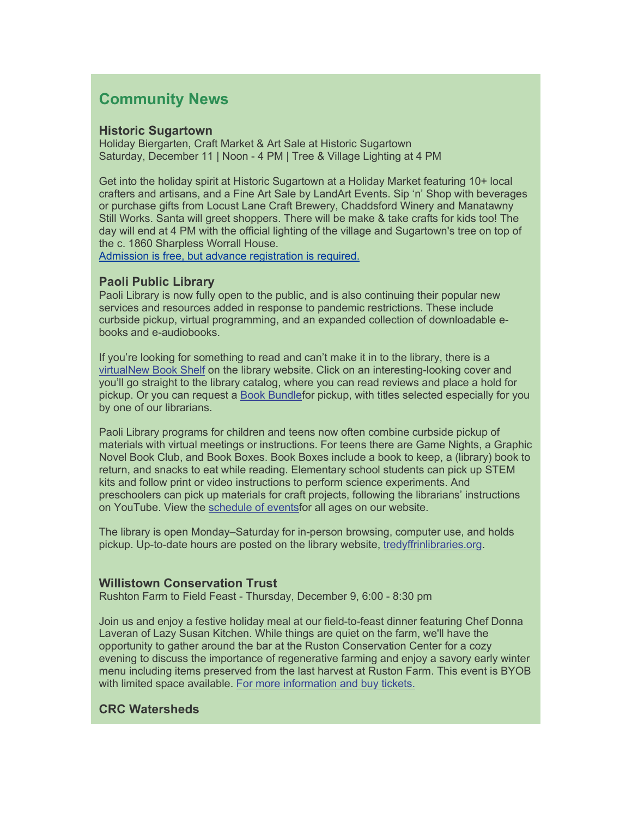### **Community News**

#### **Historic Sugartown**

Holiday Biergarten, Craft Market & Art Sale at Historic Sugartown Saturday, December 11 | Noon - 4 PM | Tree & Village Lighting at 4 PM

Get into the holiday spirit at Historic Sugartown at a Holiday Market featuring 10+ local crafters and artisans, and a Fine Art Sale by LandArt Events. Sip 'n' Shop with beverages or purchase gifts from Locust Lane Craft Brewery, Chaddsford Winery and Manatawny Still Works. Santa will greet shoppers. There will be make & take crafts for kids too! The day will end at 4 PM with the official lighting of the village and Sugartown's tree on top of the c. 1860 Sharpless Worrall House.

[Admission is free, but advance registration is required.](https://www.universe.com/events/holiday-biergarten-craft-market-art-sale-at-historic-sugartown-tickets-SG8XNB)

#### **Paoli Public Library**

Paoli Library is now fully open to the public, and is also continuing their popular new services and resources added in response to pandemic restrictions. These include curbside pickup, virtual programming, and an expanded collection of downloadable ebooks and e-audiobooks.

If you're looking for something to read and can't make it in to the library, there is a [virtualNew Book Shelf](https://www.tredyffrinlibraries.org/books-media/new-featured-materials/) on the library website. Click on an interesting-looking cover and you'll go straight to the library catalog, where you can read reviews and place a hold for pickup. Or you can request a [Book Bundlef](https://tinyurl.com/paolirequest)or pickup, with titles selected especially for you by one of our librarians.

Paoli Library programs for children and teens now often combine curbside pickup of materials with virtual meetings or instructions. For teens there are Game Nights, a Graphic Novel Book Club, and Book Boxes. Book Boxes include a book to keep, a (library) book to return, and snacks to eat while reading. Elementary school students can pick up STEM kits and follow print or video instructions to perform science experiments. And preschoolers can pick up materials for craft projects, following the librarians' instructions on YouTube. View the [schedule of eventsf](https://www.tredyffrinlibraries.org/virtual-calendar/)or all ages on our website.

The library is open Monday–Saturday for in-person browsing, computer use, and holds pickup. Up-to-date hours are posted on the library website, [tredyffrinlibraries.org.](https://www.tredyffrinlibraries.org/hours-directions/)

#### **Willistown Conservation Trust**

Rushton Farm to Field Feast - Thursday, December 9, 6:00 - 8:30 pm

Join us and enjoy a festive holiday meal at our field-to-feast dinner featuring Chef Donna Laveran of Lazy Susan Kitchen. While things are quiet on the farm, we'll have the opportunity to gather around the bar at the Ruston Conservation Center for a cozy evening to discuss the importance of regenerative farming and enjoy a savory early winter menu including items preserved from the last harvest at Ruston Farm. This event is BYOB with limited space available. [For more information and buy tickets.](https://wctrust.org/events/save-the-date-rushton-farm-field-to-feast-demonstration-dinner/?occurrence=2021-12-09)

#### **CRC Watersheds**